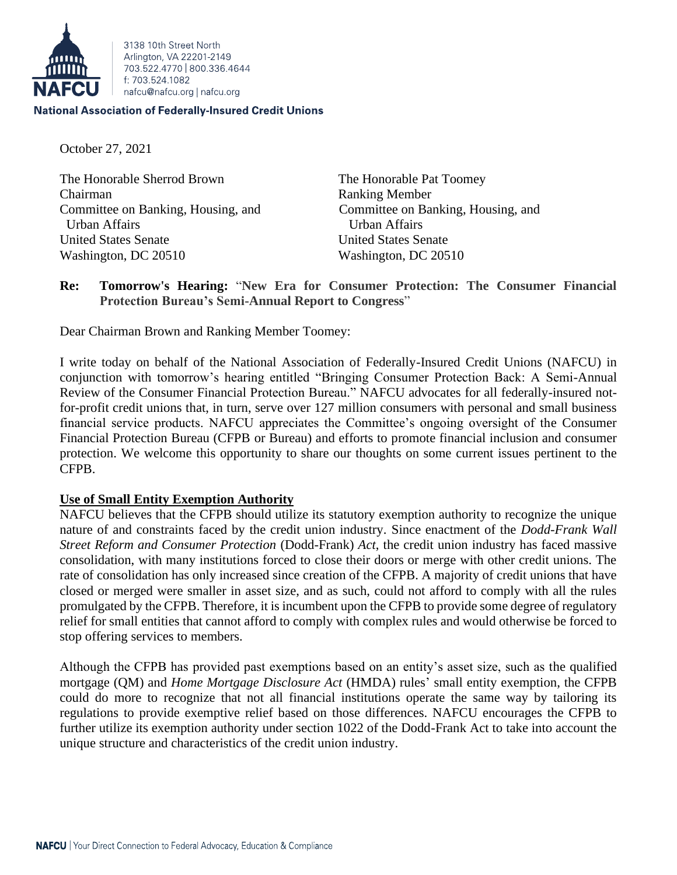

3138 10th Street North Arlington, VA 22201-2149 703 522 4770 800 336 4644 f: 703.524.1082 nafcu@nafcu.org | nafcu.org

#### **National Association of Federally-Insured Credit Unions**

October 27, 2021

The Honorable Sherrod Brown The Honorable Pat Toomey Chairman Ranking Member Urban Affairs Urban Affairs United States Senate United States Senate Washington, DC 20510 Washington, DC 20510

Committee on Banking, Housing, and Committee on Banking, Housing, and

## **Re: Tomorrow's Hearing:** "**New Era for Consumer Protection: The Consumer Financial Protection Bureau's Semi-Annual Report to Congress**"

Dear Chairman Brown and Ranking Member Toomey:

I write today on behalf of the National Association of Federally-Insured Credit Unions (NAFCU) in conjunction with tomorrow's hearing entitled "Bringing Consumer Protection Back: A Semi-Annual Review of the Consumer Financial Protection Bureau." NAFCU advocates for all federally-insured notfor-profit credit unions that, in turn, serve over 127 million consumers with personal and small business financial service products. NAFCU appreciates the Committee's ongoing oversight of the Consumer Financial Protection Bureau (CFPB or Bureau) and efforts to promote financial inclusion and consumer protection. We welcome this opportunity to share our thoughts on some current issues pertinent to the CFPB.

#### **Use of Small Entity Exemption Authority**

NAFCU believes that the CFPB should utilize its statutory exemption authority to recognize the unique nature of and constraints faced by the credit union industry. Since enactment of the *Dodd-Frank Wall Street Reform and Consumer Protection* (Dodd-Frank) *Act*, the credit union industry has faced massive consolidation, with many institutions forced to close their doors or merge with other credit unions. The rate of consolidation has only increased since creation of the CFPB. A majority of credit unions that have closed or merged were smaller in asset size, and as such, could not afford to comply with all the rules promulgated by the CFPB. Therefore, it is incumbent upon the CFPB to provide some degree of regulatory relief for small entities that cannot afford to comply with complex rules and would otherwise be forced to stop offering services to members.

Although the CFPB has provided past exemptions based on an entity's asset size, such as the qualified mortgage (QM) and *Home Mortgage Disclosure Act* (HMDA) rules' small entity exemption, the CFPB could do more to recognize that not all financial institutions operate the same way by tailoring its regulations to provide exemptive relief based on those differences. NAFCU encourages the CFPB to further utilize its exemption authority under section 1022 of the Dodd-Frank Act to take into account the unique structure and characteristics of the credit union industry.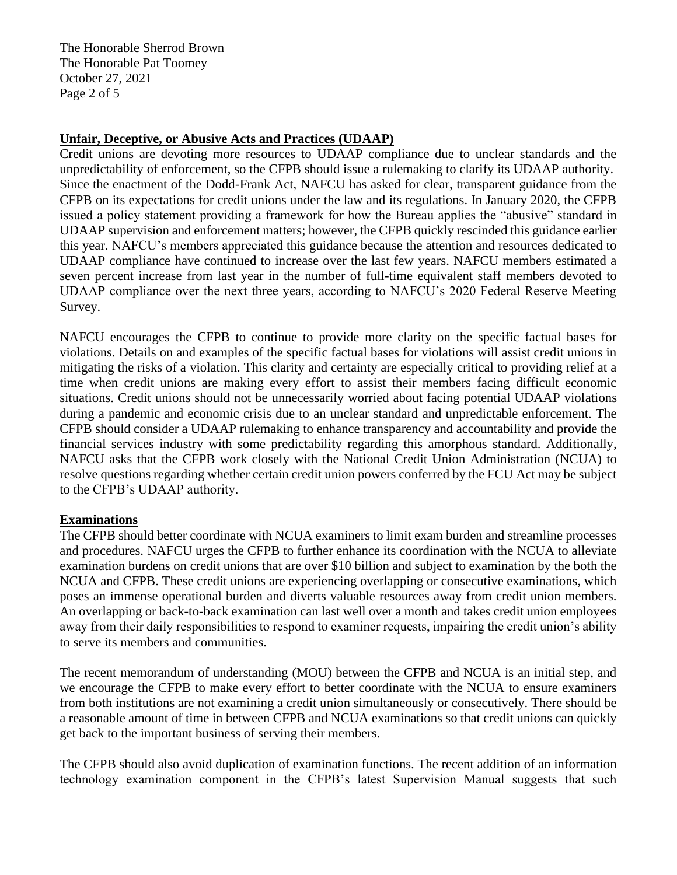The Honorable Sherrod Brown The Honorable Pat Toomey October 27, 2021 Page 2 of 5

### **Unfair, Deceptive, or Abusive Acts and Practices (UDAAP)**

Credit unions are devoting more resources to UDAAP compliance due to unclear standards and the unpredictability of enforcement, so the CFPB should issue a rulemaking to clarify its UDAAP authority. Since the enactment of the Dodd-Frank Act, NAFCU has asked for clear, transparent guidance from the CFPB on its expectations for credit unions under the law and its regulations. In January 2020, the CFPB issued a policy statement providing a framework for how the Bureau applies the "abusive" standard in UDAAP supervision and enforcement matters; however, the CFPB quickly rescinded this guidance earlier this year. NAFCU's members appreciated this guidance because the attention and resources dedicated to UDAAP compliance have continued to increase over the last few years. NAFCU members estimated a seven percent increase from last year in the number of full-time equivalent staff members devoted to UDAAP compliance over the next three years, according to NAFCU's 2020 Federal Reserve Meeting Survey.

NAFCU encourages the CFPB to continue to provide more clarity on the specific factual bases for violations. Details on and examples of the specific factual bases for violations will assist credit unions in mitigating the risks of a violation. This clarity and certainty are especially critical to providing relief at a time when credit unions are making every effort to assist their members facing difficult economic situations. Credit unions should not be unnecessarily worried about facing potential UDAAP violations during a pandemic and economic crisis due to an unclear standard and unpredictable enforcement. The CFPB should consider a UDAAP rulemaking to enhance transparency and accountability and provide the financial services industry with some predictability regarding this amorphous standard. Additionally, NAFCU asks that the CFPB work closely with the National Credit Union Administration (NCUA) to resolve questions regarding whether certain credit union powers conferred by the FCU Act may be subject to the CFPB's UDAAP authority.

#### **Examinations**

The CFPB should better coordinate with NCUA examiners to limit exam burden and streamline processes and procedures. NAFCU urges the CFPB to further enhance its coordination with the NCUA to alleviate examination burdens on credit unions that are over \$10 billion and subject to examination by the both the NCUA and CFPB. These credit unions are experiencing overlapping or consecutive examinations, which poses an immense operational burden and diverts valuable resources away from credit union members. An overlapping or back-to-back examination can last well over a month and takes credit union employees away from their daily responsibilities to respond to examiner requests, impairing the credit union's ability to serve its members and communities.

The recent memorandum of understanding (MOU) between the CFPB and NCUA is an initial step, and we encourage the CFPB to make every effort to better coordinate with the NCUA to ensure examiners from both institutions are not examining a credit union simultaneously or consecutively. There should be a reasonable amount of time in between CFPB and NCUA examinations so that credit unions can quickly get back to the important business of serving their members.

The CFPB should also avoid duplication of examination functions. The recent addition of an information technology examination component in the CFPB's latest Supervision Manual suggests that such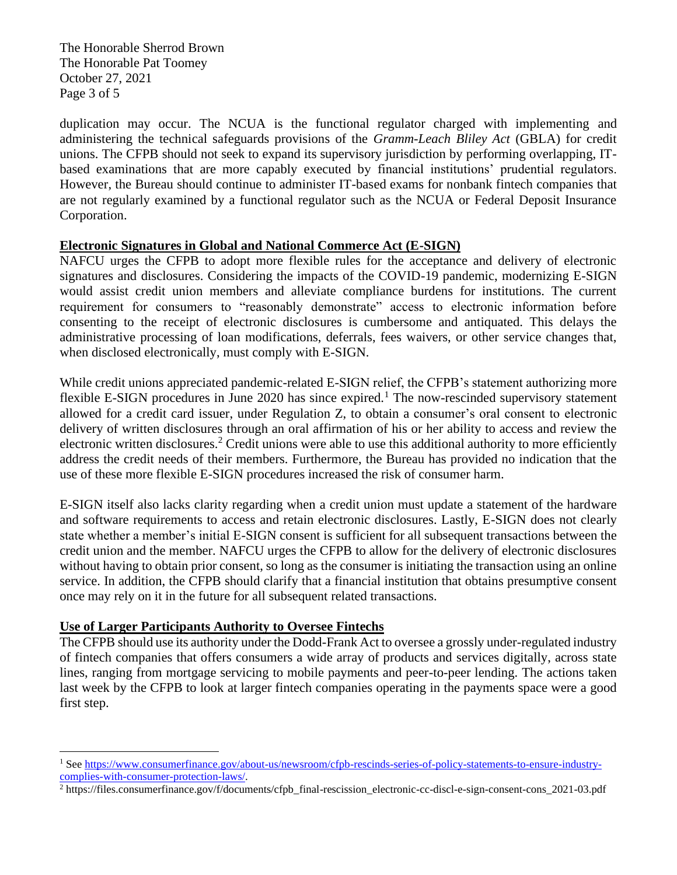The Honorable Sherrod Brown The Honorable Pat Toomey October 27, 2021 Page 3 of 5

duplication may occur. The NCUA is the functional regulator charged with implementing and administering the technical safeguards provisions of the *Gramm-Leach Bliley Act* (GBLA) for credit unions. The CFPB should not seek to expand its supervisory jurisdiction by performing overlapping, ITbased examinations that are more capably executed by financial institutions' prudential regulators. However, the Bureau should continue to administer IT-based exams for nonbank fintech companies that are not regularly examined by a functional regulator such as the NCUA or Federal Deposit Insurance Corporation.

### **Electronic Signatures in Global and National Commerce Act (E-SIGN)**

NAFCU urges the CFPB to adopt more flexible rules for the acceptance and delivery of electronic signatures and disclosures. Considering the impacts of the COVID-19 pandemic, modernizing E-SIGN would assist credit union members and alleviate compliance burdens for institutions. The current requirement for consumers to "reasonably demonstrate" access to electronic information before consenting to the receipt of electronic disclosures is cumbersome and antiquated. This delays the administrative processing of loan modifications, deferrals, fees waivers, or other service changes that, when disclosed electronically, must comply with E-SIGN.

While credit unions appreciated pandemic-related E-SIGN relief, the CFPB's statement authorizing more flexible E-SIGN procedures in June 2020 has since expired.<sup>1</sup> The now-rescinded supervisory statement allowed for a credit card issuer, under Regulation Z, to obtain a consumer's oral consent to electronic delivery of written disclosures through an oral affirmation of his or her ability to access and review the electronic written disclosures.<sup>2</sup> Credit unions were able to use this additional authority to more efficiently address the credit needs of their members. Furthermore, the Bureau has provided no indication that the use of these more flexible E-SIGN procedures increased the risk of consumer harm.

E-SIGN itself also lacks clarity regarding when a credit union must update a statement of the hardware and software requirements to access and retain electronic disclosures. Lastly, E-SIGN does not clearly state whether a member's initial E-SIGN consent is sufficient for all subsequent transactions between the credit union and the member. NAFCU urges the CFPB to allow for the delivery of electronic disclosures without having to obtain prior consent, so long as the consumer is initiating the transaction using an online service. In addition, the CFPB should clarify that a financial institution that obtains presumptive consent once may rely on it in the future for all subsequent related transactions.

#### **Use of Larger Participants Authority to Oversee Fintechs**

The CFPB should use its authority under the Dodd-Frank Act to oversee a grossly under-regulated industry of fintech companies that offers consumers a wide array of products and services digitally, across state lines, ranging from mortgage servicing to mobile payments and peer-to-peer lending. The actions taken last week by the CFPB to look at larger fintech companies operating in the payments space were a good first step.

<sup>1</sup> Se[e https://www.consumerfinance.gov/about-us/newsroom/cfpb-rescinds-series-of-policy-statements-to-ensure-industry](https://www.consumerfinance.gov/about-us/newsroom/cfpb-rescinds-series-of-policy-statements-to-ensure-industry-complies-with-consumer-protection-laws/)[complies-with-consumer-protection-laws/.](https://www.consumerfinance.gov/about-us/newsroom/cfpb-rescinds-series-of-policy-statements-to-ensure-industry-complies-with-consumer-protection-laws/)

<sup>2</sup> https://files.consumerfinance.gov/f/documents/cfpb\_final-rescission\_electronic-cc-discl-e-sign-consent-cons\_2021-03.pdf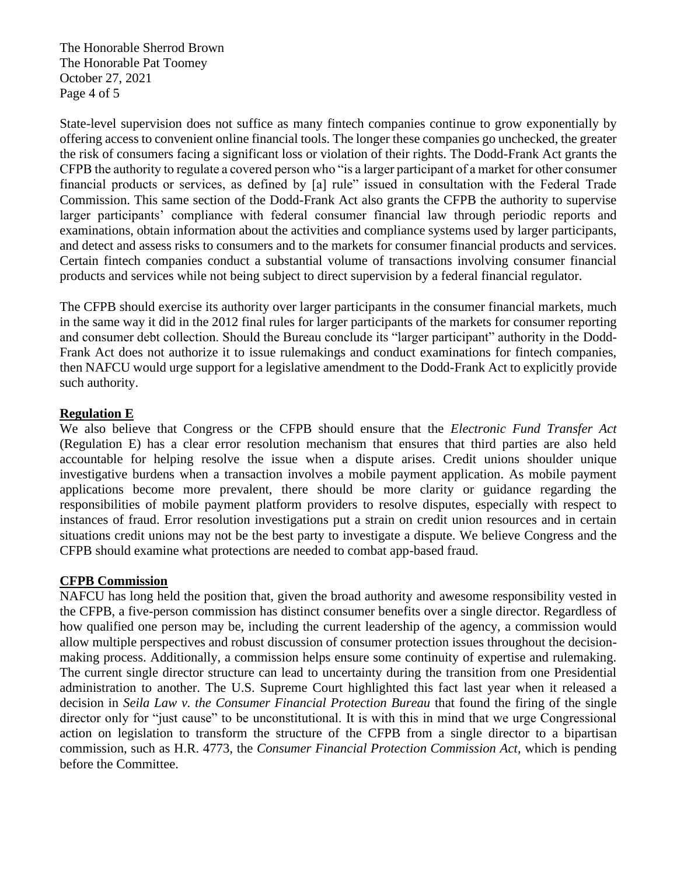The Honorable Sherrod Brown The Honorable Pat Toomey October 27, 2021 Page 4 of 5

State-level supervision does not suffice as many fintech companies continue to grow exponentially by offering access to convenient online financial tools. The longer these companies go unchecked, the greater the risk of consumers facing a significant loss or violation of their rights. The Dodd-Frank Act grants the CFPB the authority to regulate a covered person who "is a larger participant of a market for other consumer financial products or services, as defined by [a] rule" issued in consultation with the Federal Trade Commission. This same section of the Dodd-Frank Act also grants the CFPB the authority to supervise larger participants' compliance with federal consumer financial law through periodic reports and examinations, obtain information about the activities and compliance systems used by larger participants, and detect and assess risks to consumers and to the markets for consumer financial products and services. Certain fintech companies conduct a substantial volume of transactions involving consumer financial products and services while not being subject to direct supervision by a federal financial regulator.

The CFPB should exercise its authority over larger participants in the consumer financial markets, much in the same way it did in the 2012 final rules for larger participants of the markets for consumer reporting and consumer debt collection. Should the Bureau conclude its "larger participant" authority in the Dodd-Frank Act does not authorize it to issue rulemakings and conduct examinations for fintech companies, then NAFCU would urge support for a legislative amendment to the Dodd-Frank Act to explicitly provide such authority.

### **Regulation E**

We also believe that Congress or the CFPB should ensure that the *Electronic Fund Transfer Act* (Regulation E) has a clear error resolution mechanism that ensures that third parties are also held accountable for helping resolve the issue when a dispute arises. Credit unions shoulder unique investigative burdens when a transaction involves a mobile payment application. As mobile payment applications become more prevalent, there should be more clarity or guidance regarding the responsibilities of mobile payment platform providers to resolve disputes, especially with respect to instances of fraud. Error resolution investigations put a strain on credit union resources and in certain situations credit unions may not be the best party to investigate a dispute. We believe Congress and the CFPB should examine what protections are needed to combat app-based fraud.

# **CFPB Commission**

NAFCU has long held the position that, given the broad authority and awesome responsibility vested in the CFPB, a five-person commission has distinct consumer benefits over a single director. Regardless of how qualified one person may be, including the current leadership of the agency, a commission would allow multiple perspectives and robust discussion of consumer protection issues throughout the decisionmaking process. Additionally, a commission helps ensure some continuity of expertise and rulemaking. The current single director structure can lead to uncertainty during the transition from one Presidential administration to another. The U.S. Supreme Court highlighted this fact last year when it released a decision in *Seila Law v. the Consumer Financial Protection Bureau* that found the firing of the single director only for "just cause" to be unconstitutional. It is with this in mind that we urge Congressional action on legislation to transform the structure of the CFPB from a single director to a bipartisan commission, such as H.R. 4773, the *Consumer Financial Protection Commission Act,* which is pending before the Committee.